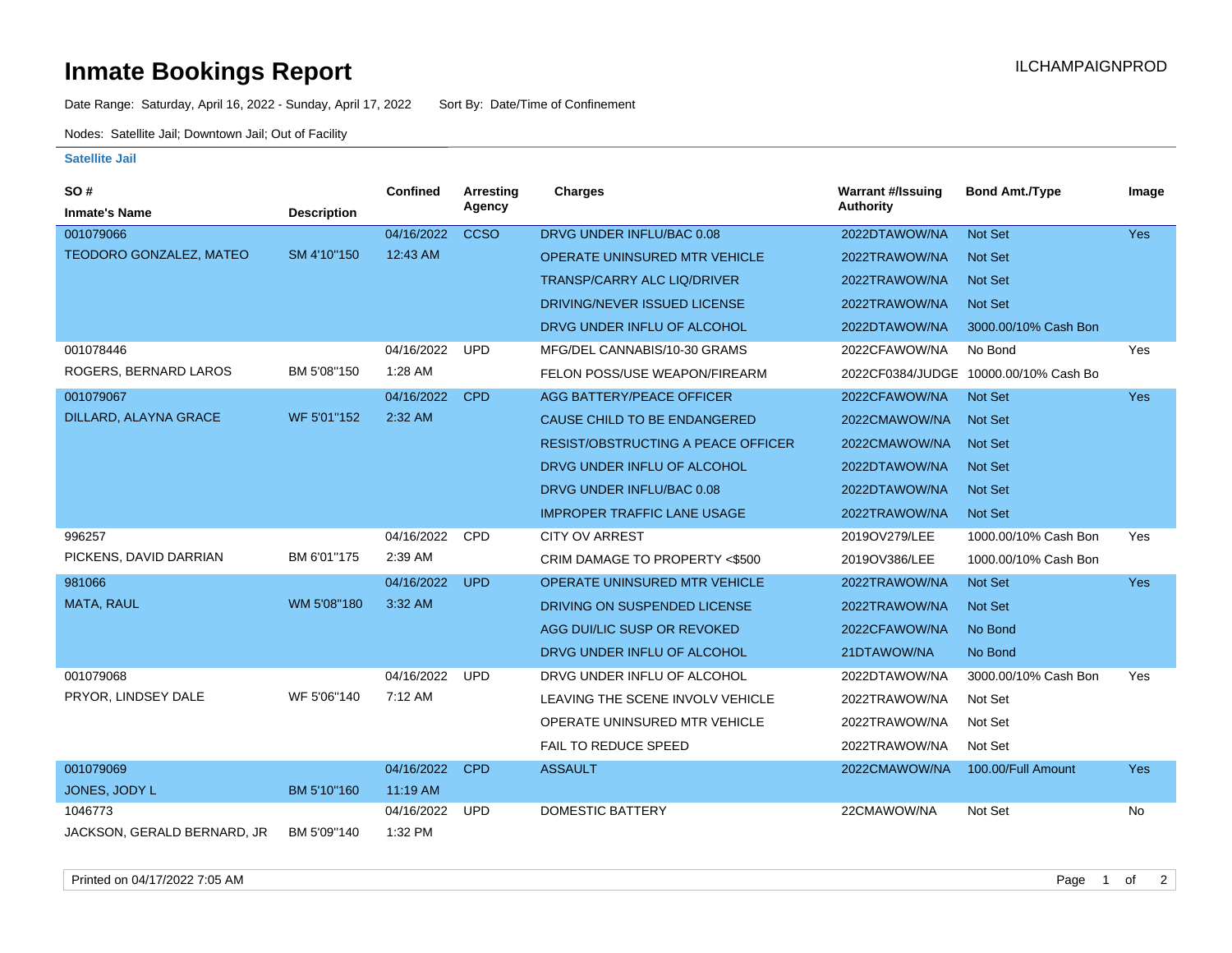## **Inmate Bookings Report Installation ILCHAMPAIGNPROD**

Date Range: Saturday, April 16, 2022 - Sunday, April 17, 2022 Sort By: Date/Time of Confinement

Nodes: Satellite Jail; Downtown Jail; Out of Facility

## **Satellite Jail**

| SO#                            |                    | Confined   | <b>Arresting</b> | <b>Charges</b>                            | <b>Warrant #/Issuing</b> | <b>Bond Amt./Type</b>                 | Image      |
|--------------------------------|--------------------|------------|------------------|-------------------------------------------|--------------------------|---------------------------------------|------------|
| <b>Inmate's Name</b>           | <b>Description</b> |            | Agency           |                                           | <b>Authority</b>         |                                       |            |
| 001079066                      |                    | 04/16/2022 | <b>CCSO</b>      | DRVG UNDER INFLU/BAC 0.08                 | 2022DTAWOW/NA            | Not Set                               | <b>Yes</b> |
| <b>TEODORO GONZALEZ, MATEO</b> | SM 4'10"150        | 12:43 AM   |                  | <b>OPERATE UNINSURED MTR VEHICLE</b>      | 2022TRAWOW/NA            | <b>Not Set</b>                        |            |
|                                |                    |            |                  | <b>TRANSP/CARRY ALC LIQ/DRIVER</b>        | 2022TRAWOW/NA            | <b>Not Set</b>                        |            |
|                                |                    |            |                  | DRIVING/NEVER ISSUED LICENSE              | 2022TRAWOW/NA            | Not Set                               |            |
|                                |                    |            |                  | DRVG UNDER INFLU OF ALCOHOL               | 2022DTAWOW/NA            | 3000.00/10% Cash Bon                  |            |
| 001078446                      |                    | 04/16/2022 | <b>UPD</b>       | MFG/DEL CANNABIS/10-30 GRAMS              | 2022CFAWOW/NA            | No Bond                               | Yes        |
| ROGERS, BERNARD LAROS          | BM 5'08"150        | 1:28 AM    |                  | FELON POSS/USE WEAPON/FIREARM             |                          | 2022CF0384/JUDGE 10000.00/10% Cash Bo |            |
| 001079067                      |                    | 04/16/2022 | <b>CPD</b>       | AGG BATTERY/PEACE OFFICER                 | 2022CFAWOW/NA            | <b>Not Set</b>                        | <b>Yes</b> |
| DILLARD, ALAYNA GRACE          | WF 5'01"152        | 2:32 AM    |                  | CAUSE CHILD TO BE ENDANGERED              | 2022CMAWOW/NA            | <b>Not Set</b>                        |            |
|                                |                    |            |                  | <b>RESIST/OBSTRUCTING A PEACE OFFICER</b> | 2022CMAWOW/NA            | <b>Not Set</b>                        |            |
|                                |                    |            |                  | DRVG UNDER INFLU OF ALCOHOL               | 2022DTAWOW/NA            | <b>Not Set</b>                        |            |
|                                |                    |            |                  | DRVG UNDER INFLU/BAC 0.08                 | 2022DTAWOW/NA            | <b>Not Set</b>                        |            |
|                                |                    |            |                  | <b>IMPROPER TRAFFIC LANE USAGE</b>        | 2022TRAWOW/NA            | Not Set                               |            |
| 996257                         |                    | 04/16/2022 | <b>CPD</b>       | <b>CITY OV ARREST</b>                     | 2019OV279/LEE            | 1000.00/10% Cash Bon                  | Yes        |
| PICKENS, DAVID DARRIAN         | BM 6'01"175        | 2:39 AM    |                  | CRIM DAMAGE TO PROPERTY <\$500            | 2019OV386/LEE            | 1000.00/10% Cash Bon                  |            |
| 981066                         |                    | 04/16/2022 | <b>UPD</b>       | OPERATE UNINSURED MTR VEHICLE             | 2022TRAWOW/NA            | Not Set                               | <b>Yes</b> |
| MATA, RAUL                     | WM 5'08"180        | 3:32 AM    |                  | DRIVING ON SUSPENDED LICENSE              | 2022TRAWOW/NA            | Not Set                               |            |
|                                |                    |            |                  | AGG DUI/LIC SUSP OR REVOKED               | 2022CFAWOW/NA            | No Bond                               |            |
|                                |                    |            |                  | DRVG UNDER INFLU OF ALCOHOL               | 21DTAWOW/NA              | No Bond                               |            |
| 001079068                      |                    | 04/16/2022 | <b>UPD</b>       | DRVG UNDER INFLU OF ALCOHOL               | 2022DTAWOW/NA            | 3000.00/10% Cash Bon                  | Yes        |
| PRYOR, LINDSEY DALE            | WF 5'06"140        | 7:12 AM    |                  | LEAVING THE SCENE INVOLV VEHICLE          | 2022TRAWOW/NA            | Not Set                               |            |
|                                |                    |            |                  | OPERATE UNINSURED MTR VEHICLE             | 2022TRAWOW/NA            | Not Set                               |            |
|                                |                    |            |                  | FAIL TO REDUCE SPEED                      | 2022TRAWOW/NA            | Not Set                               |            |
| 001079069                      |                    | 04/16/2022 | <b>CPD</b>       | <b>ASSAULT</b>                            | 2022CMAWOW/NA            | 100.00/Full Amount                    | Yes        |
| JONES, JODY L                  | BM 5'10"160        | 11:19 AM   |                  |                                           |                          |                                       |            |
| 1046773                        |                    | 04/16/2022 | <b>UPD</b>       | <b>DOMESTIC BATTERY</b>                   | 22CMAWOW/NA              | Not Set                               | No         |
| JACKSON, GERALD BERNARD, JR    | BM 5'09"140        | 1:32 PM    |                  |                                           |                          |                                       |            |